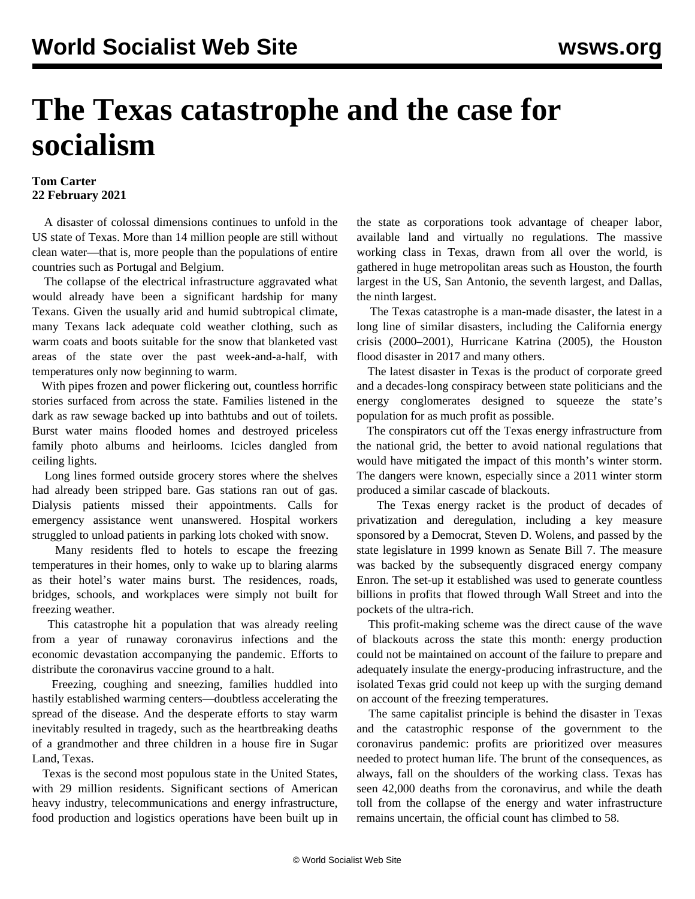## **The Texas catastrophe and the case for socialism**

## **Tom Carter 22 February 2021**

 A disaster of colossal dimensions continues to unfold in the US state of Texas. More than 14 million people are still without clean water—that is, more people than the populations of entire countries such as Portugal and Belgium.

 The collapse of the electrical infrastructure aggravated what would already have been a significant hardship for many Texans. Given the usually arid and humid subtropical climate, many Texans lack adequate cold weather clothing, such as warm coats and boots suitable for the snow that blanketed vast areas of the state over the past week-and-a-half, with temperatures only now beginning to warm.

 With pipes frozen and power flickering out, countless horrific stories surfaced from across the state. Families listened in the dark as raw sewage backed up into bathtubs and out of toilets. Burst water mains flooded homes and destroyed priceless family photo albums and heirlooms. Icicles dangled from ceiling lights.

 Long lines formed outside grocery stores where the shelves had already been stripped bare. Gas stations ran out of gas. Dialysis patients missed their appointments. Calls for emergency assistance went unanswered. Hospital workers struggled to unload patients in parking lots choked with snow.

 Many residents fled to hotels to escape the freezing temperatures in their homes, only to wake up to blaring alarms as their hotel's water mains burst. The residences, roads, bridges, schools, and workplaces were simply not built for freezing weather.

 This catastrophe hit a population that was already reeling from a year of runaway coronavirus infections and the economic devastation accompanying the pandemic. Efforts to distribute the coronavirus vaccine ground to a halt.

 Freezing, coughing and sneezing, families huddled into hastily established warming centers—doubtless accelerating the spread of the disease. And the desperate efforts to stay warm inevitably resulted in tragedy, such as the heartbreaking deaths of a grandmother and three children in a house fire in Sugar Land, Texas.

 Texas is the second most populous state in the United States, with 29 million residents. Significant sections of American heavy industry, telecommunications and energy infrastructure, food production and logistics operations have been built up in the state as corporations took advantage of cheaper labor, available land and virtually no regulations. The massive working class in Texas, drawn from all over the world, is gathered in huge metropolitan areas such as Houston, the fourth largest in the US, San Antonio, the seventh largest, and Dallas, the ninth largest.

 The Texas catastrophe is a man-made disaster, the latest in a long line of similar disasters, including the [California energy](/en/articles/2001/03/cal-m22.html) [crisis](/en/articles/2001/03/cal-m22.html) (2000–2001), [Hurricane Katrina](/en/articles/2006/08/katr-a28.html) (2005), the [Houston](/en/articles/2017/08/29/pers-a29.html) [flood disaster](/en/articles/2017/08/29/pers-a29.html) in 2017 and many others.

 The latest disaster in Texas is the product of corporate greed and a decades-long conspiracy between state politicians and the energy conglomerates designed to squeeze the state's population for as much profit as possible.

 The conspirators cut off the Texas energy infrastructure from the national grid, the better to avoid national regulations that would have mitigated the impact of this month's winter storm. The dangers were known, especially since a 2011 winter storm produced a similar cascade of blackouts.

 The Texas energy racket is the product of decades of privatization and deregulation, including a key measure sponsored by a Democrat, Steven D. Wolens, and passed by the state legislature in 1999 known as Senate Bill 7. The measure was backed by the subsequently disgraced energy company Enron. The set-up it established was used to generate countless billions in profits that flowed through Wall Street and into the pockets of the ultra-rich.

 This profit-making scheme was the direct cause of the wave of blackouts across the state this month: energy production could not be maintained on account of the failure to prepare and adequately insulate the energy-producing infrastructure, and the isolated Texas grid could not keep up with the surging demand on account of the freezing temperatures.

 The same capitalist principle is behind the disaster in Texas and the catastrophic response of the government to the coronavirus pandemic: profits are prioritized over measures needed to protect human life. The brunt of the consequences, as always, fall on the shoulders of the working class. Texas has seen 42,000 deaths from the coronavirus, and while the death toll from the collapse of the energy and water infrastructure remains uncertain, the official count has climbed to 58.